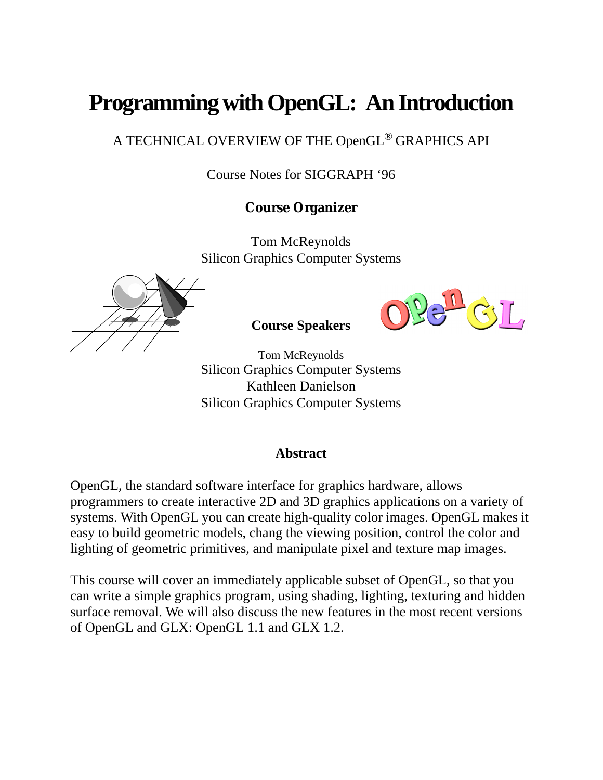# **Programming with OpenGL: An Introduction**

A TECHNICAL OVERVIEW OF THE OpenGL® GRAPHICS API

Course Notes for SIGGRAPH '96

# **Course Organizer**

Tom McReynolds Silicon Graphics Computer Systems





**Course Speakers**

Tom McReynolds Silicon Graphics Computer Systems Kathleen Danielson Silicon Graphics Computer Systems

# **Abstract**

OpenGL, the standard software interface for graphics hardware, allows programmers to create interactive 2D and 3D graphics applications on a variety of systems. With OpenGL you can create high-quality color images. OpenGL makes it easy to build geometric models, chang the viewing position, control the color and lighting of geometric primitives, and manipulate pixel and texture map images.

This course will cover an immediately applicable subset of OpenGL, so that you can write a simple graphics program, using shading, lighting, texturing and hidden surface removal. We will also discuss the new features in the most recent versions of OpenGL and GLX: OpenGL 1.1 and GLX 1.2.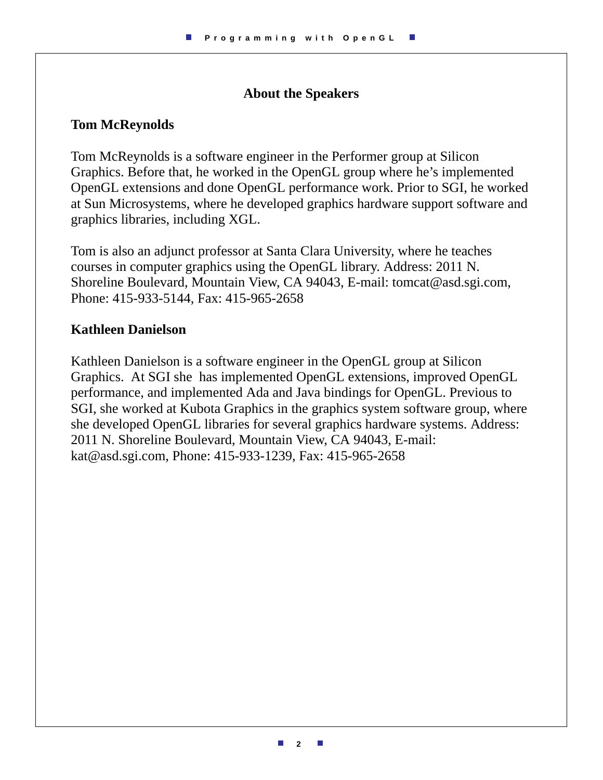# **About the Speakers**

# **Tom McReynolds**

Tom McReynolds is a software engineer in the Performer group at Silicon Graphics. Before that, he worked in the OpenGL group where he's implemented OpenGL extensions and done OpenGL performance work. Prior to SGI, he worked at Sun Microsystems, where he developed graphics hardware support software and graphics libraries, including XGL.

Tom is also an adjunct professor at Santa Clara University, where he teaches courses in computer graphics using the OpenGL library. Address: 2011 N. Shoreline Boulevard, Mountain View, CA 94043, E-mail: tomcat@asd.sgi.com, Phone: 415-933-5144, Fax: 415-965-2658

## **Kathleen Danielson**

Kathleen Danielson is a software engineer in the OpenGL group at Silicon Graphics. At SGI she has implemented OpenGL extensions, improved OpenGL performance, and implemented Ada and Java bindings for OpenGL. Previous to SGI, she worked at Kubota Graphics in the graphics system software group, where she developed OpenGL libraries for several graphics hardware systems. Address: 2011 N. Shoreline Boulevard, Mountain View, CA 94043, E-mail: kat@asd.sgi.com, Phone: 415-933-1239, Fax: 415-965-2658

L.

**I**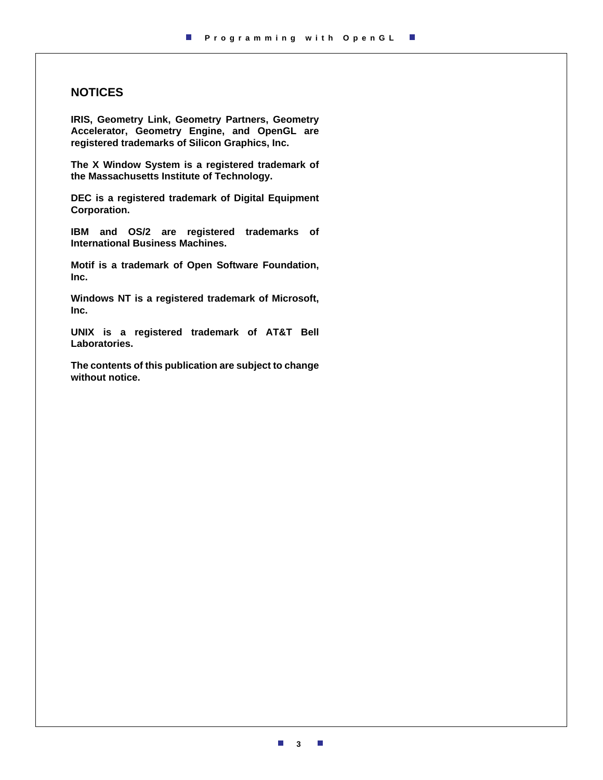#### **NOTICES**

**IRIS, Geometry Link, Geometry Partners, Geometry Accelerator, Geometry Engine, and OpenGL are registered trademarks of Silicon Graphics, Inc.**

**The X Window System is a registered trademark of the Massachusetts Institute of Technology.**

**DEC is a registered trademark of Digital Equipment Corporation.**

**IBM and OS/2 are registered trademarks of International Business Machines.**

**Motif is a trademark of Open Software Foundation, Inc.**

**Windows NT is a registered trademark of Microsoft, Inc.**

**UNIX is a registered trademark of AT&T Bell Laboratories.**

**The contents of this publication are subject to change without notice.**

**3**

 $\mathcal{C}$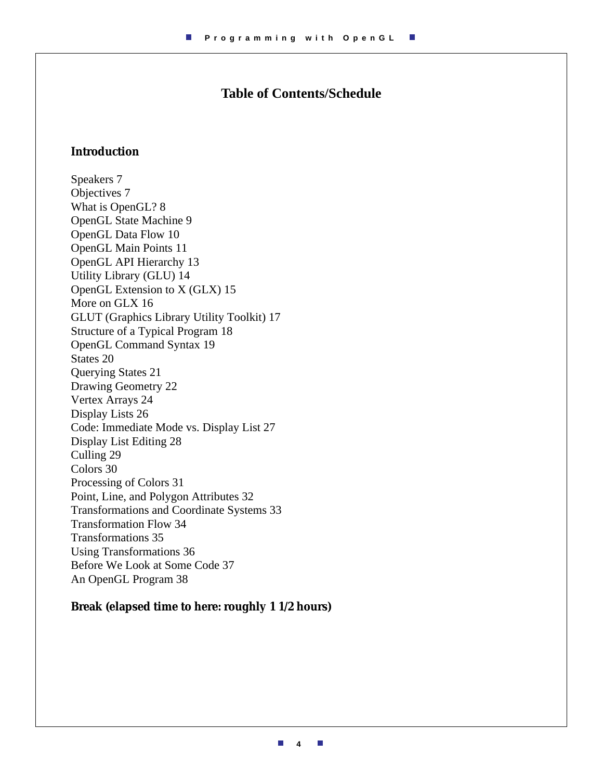# **Table of Contents/Schedule**

#### **Introduction**

Speakers 7 Objectives 7 What is OpenGL? 8 OpenGL State Machine 9 OpenGL Data Flow 10 OpenGL Main Points 11 OpenGL API Hierarchy 13 Utility Library (GLU) 14 OpenGL Extension to X (GLX) 15 More on GLX 16 GLUT (Graphics Library Utility Toolkit) 17 Structure of a Typical Program 18 OpenGL Command Syntax 19 States 20 Querying States 21 Drawing Geometry 22 Vertex Arrays 24 Display Lists 26 Code: Immediate Mode vs. Display List 27 Display List Editing 28 Culling 29 Colors 30 Processing of Colors 31 Point, Line, and Polygon Attributes 32 Transformations and Coordinate Systems 33 Transformation Flow 34 Transformations 35 Using Transformations 36 Before We Look at Some Code 37 An OpenGL Program 38

#### **Break (elapsed time to here: roughly 1 1/2 hours)**

m. **4**  $\mathcal{C}$